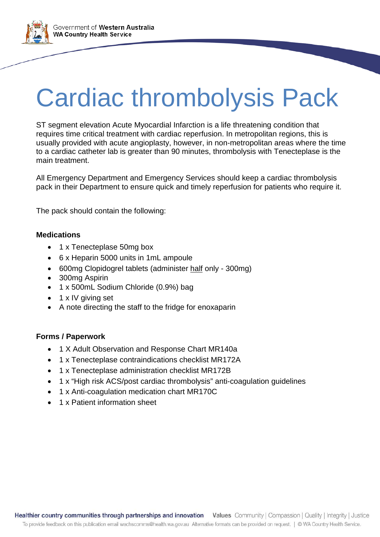Government of Western Australia **WA Country Health Service** 

## Cardiac thrombolysis Pack

ST segment elevation Acute Myocardial Infarction is a life threatening condition that requires time critical treatment with cardiac reperfusion. In metropolitan regions, this is usually provided with acute angioplasty, however, in non-metropolitan areas where the time to a cardiac catheter lab is greater than 90 minutes, thrombolysis with Tenecteplase is the main treatment.

All Emergency Department and Emergency Services should keep a cardiac thrombolysis pack in their Department to ensure quick and timely reperfusion for patients who require it.

The pack should contain the following:

### **Medications**

- 1 x Tenecteplase 50mg box
- 6 x Heparin 5000 units in 1mL ampoule
- 600mg Clopidogrel tablets (administer half only 300mg)
- 300mg Aspirin
- 1 x 500mL Sodium Chloride (0.9%) bag
- 1 x IV giving set
- A note directing the staff to the fridge for enoxaparin

#### **Forms / Paperwork**

- 1 X Adult Observation and Response Chart MR140a
- 1 x Tenecteplase contraindications checklist MR172A
- 1 x Tenecteplase administration checklist MR172B
- 1 x "High risk ACS/post cardiac thrombolysis" anti-coagulation guidelines
- 1 x Anti-coagulation medication chart MR170C
- 1 x Patient information sheet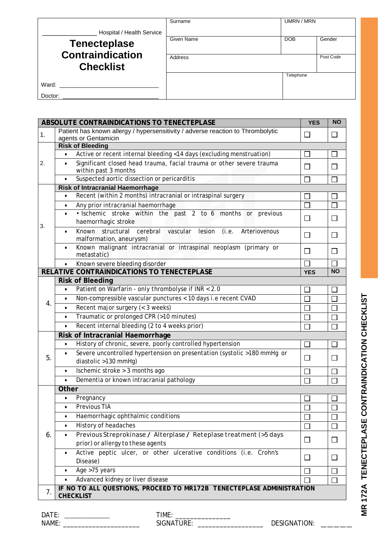|                                             | Surname        | UMRN / MRN |           |
|---------------------------------------------|----------------|------------|-----------|
| Hospital / Health Service                   |                |            |           |
| <b>Tenecteplase</b>                         | Given Name     | <b>DOB</b> | Gender    |
| <b>Contraindication</b><br><b>Checklist</b> | <b>Address</b> |            | Post Code |
|                                             |                | Telephone  |           |
| Ward:                                       |                |            |           |
| Doctor:                                     |                |            |           |

|    | ABSOLUTE CONTRAINDICATIONS TO TENECTEPLASE                                                                           | <b>YES</b>                  | <b>NO</b>         |  |  |  |
|----|----------------------------------------------------------------------------------------------------------------------|-----------------------------|-------------------|--|--|--|
| 1. | Patient has known allergy / hypersensitivity / adverse reaction to Thrombolytic                                      |                             |                   |  |  |  |
|    | agents or Gentamicin                                                                                                 |                             |                   |  |  |  |
|    | <b>Risk of Bleeding</b>                                                                                              |                             |                   |  |  |  |
|    | Active or recent internal bleeding <14 days (excluding menstruation)                                                 | $\mathcal{C}^{\mathcal{A}}$ |                   |  |  |  |
| 2. | Significant closed head trauma, facial trauma or other severe trauma<br>$\bullet$<br>within past 3 months            | П                           | $\mathbf{I}$      |  |  |  |
|    | Suspected aortic dissection or pericarditis<br>$\bullet$                                                             | $\overline{\phantom{a}}$    | П                 |  |  |  |
|    | <b>Risk of Intracranial Haemorrhage</b>                                                                              |                             |                   |  |  |  |
|    | Recent (within 2 months) intracranial or intraspinal surgery                                                         |                             |                   |  |  |  |
|    | Any prior intracranial haemorrhage<br>$\bullet$                                                                      | $\Box$                      |                   |  |  |  |
|    | · Ischemic stroke within the past 2 to 6 months or previous<br>$\bullet$                                             |                             |                   |  |  |  |
| 3. | haemorrhagic stroke                                                                                                  | $\mathsf{L}$                | $\Box$            |  |  |  |
|    | Known<br>structural<br>cerebral vascular<br>lesion<br>(i.e.<br>Arteriovenous<br>$\bullet$<br>malformation, aneurysm) | $\Box$                      | $\mathsf{L}$      |  |  |  |
|    | Known malignant intracranial or intraspinal neoplasm (primary or<br>$\bullet$<br>metastatic)                         | П                           | <b>T</b>          |  |  |  |
|    | Known severe bleeding disorder                                                                                       | $\Box$                      |                   |  |  |  |
|    | RELATIVE CONTRAINDICATIONS TO TENECTEPLASE                                                                           | <b>YES</b>                  | <b>NO</b>         |  |  |  |
|    | <b>Risk of Bleeding</b>                                                                                              |                             |                   |  |  |  |
|    | Patient on Warfarin - only thrombolyse if INR < 2.0<br>$\bullet$                                                     |                             |                   |  |  |  |
|    | Non-compressible vascular punctures < 10 days i.e recent CVAD<br>$\bullet$                                           | П                           |                   |  |  |  |
| 4. | Recent major surgery (< 3 weeks)<br>$\bullet$                                                                        |                             |                   |  |  |  |
|    | Traumatic or prolonged CPR (>10 minutes)<br>$\bullet$                                                                | $\Box$                      | $\vert \ \ \vert$ |  |  |  |
|    | Recent internal bleeding (2 to 4 weeks prior)<br>$\bullet$                                                           |                             |                   |  |  |  |
|    | Risk of Intracranial Haemorrhage                                                                                     |                             |                   |  |  |  |
|    | History of chronic, severe, poorly controlled hypertension<br>$\bullet$                                              | $\Box$                      | $\Box$            |  |  |  |
| 5. | Severe uncontrolled hypertension on presentation (systolic >180 mmHg or                                              |                             |                   |  |  |  |
|    | diastolic >130 mmHg)                                                                                                 | $\Box$                      |                   |  |  |  |
|    | Ischemic stroke > 3 months ago<br>$\bullet$                                                                          | $\Box$                      |                   |  |  |  |
|    | Dementia or known intracranial pathology<br>$\bullet$                                                                | $\Box$                      | П                 |  |  |  |
|    | <b>Other</b>                                                                                                         |                             |                   |  |  |  |
|    | Pregnancy                                                                                                            |                             |                   |  |  |  |
|    | Previous TIA<br>$\bullet$                                                                                            |                             |                   |  |  |  |
|    | Haemorrhagic ophthalmic conditions<br>$\bullet$                                                                      | $\Box$                      |                   |  |  |  |
|    | History of headaches<br>$\bullet$                                                                                    | $\mathsf{L}$                |                   |  |  |  |
| 6. | Previous Streprokinase / Alterplase / Reteplase treatment (>5 days<br>$\bullet$                                      |                             |                   |  |  |  |
|    | prior) or allergy to these agents                                                                                    | $\Box$                      | $\Box$            |  |  |  |
|    | Active peptic ulcer, or other ulcerative conditions (i.e. Crohn's<br>$\bullet$<br>Disease)                           | $\Box$                      |                   |  |  |  |
|    | Age >75 years<br>$\bullet$                                                                                           |                             |                   |  |  |  |
|    | Advanced kidney or liver disease<br>$\bullet$                                                                        |                             |                   |  |  |  |
| 7. | IF NO TO ALL QUESTIONS, PROCEED TO MR172B TENECTEPLASE ADMINISTRATION<br><b>CHECKLIST</b>                            |                             |                   |  |  |  |
|    |                                                                                                                      |                             |                   |  |  |  |

DATE: \_\_\_\_\_\_\_\_\_\_\_\_\_ TIME: \_\_\_\_\_\_\_\_\_\_\_\_\_\_\_

NAME: \_\_\_\_\_\_\_\_\_\_\_\_\_\_\_\_\_\_\_\_\_ SIGNATURE: \_\_\_\_\_\_\_\_\_\_\_\_\_\_\_\_\_\_ DESIGNATION: \_\_\_\_\_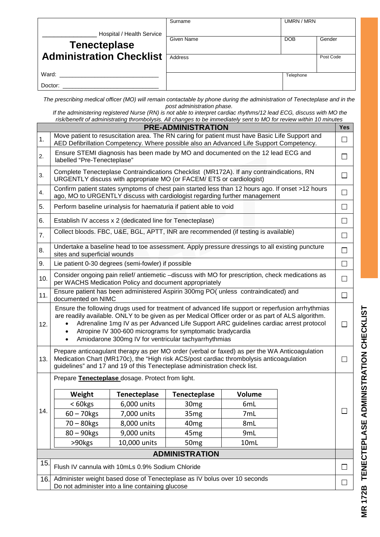| Hospital / Health Service       | Surname    | UMRN / MRN |           |
|---------------------------------|------------|------------|-----------|
| <b>Tenecteplase</b>             | Given Name | <b>DOB</b> | Gender    |
| <b>Administration Checklist</b> | Address    |            | Post Code |
| Ward:                           |            | Telephone  |           |
| Doctor:                         |            |            |           |

*The prescribing medical officer (MO) will remain contactable by phone during the administration of Tenecteplase and in the post administration phase.*

*If the administering registered Nurse (RN) is not able to interpret cardiac rhythms/12 lead ECG, discuss with MO the risk/benefit of administrating thrombolysis. All changes to be immediately sent to MO for review within 10 minutes*

|                       |                                                                                                                                                                                                                                                                                                                                                                                                                                    |                     | <b>PRE-ADMINISTRATION</b> |               |        | <b>Yes</b> |
|-----------------------|------------------------------------------------------------------------------------------------------------------------------------------------------------------------------------------------------------------------------------------------------------------------------------------------------------------------------------------------------------------------------------------------------------------------------------|---------------------|---------------------------|---------------|--------|------------|
| 1.                    | Move patient to resuscitation area. The RN caring for patient must have Basic Life Support and<br>AED Defibrillation Competency. Where possible also an Advanced Life Support Competency.                                                                                                                                                                                                                                          |                     |                           |               |        | $\Box$     |
| 2.                    | Ensure STEMI diagnosis has been made by MO and documented on the 12 lead ECG and<br>labelled "Pre-Tenecteplase"                                                                                                                                                                                                                                                                                                                    |                     |                           |               | $\Box$ |            |
| 3.                    | Complete Tenecteplase Contraindications Checklist (MR172A). If any contraindications, RN<br>URGENTLY discuss with appropriate MO (or FACEM/ ETS or cardiologist)                                                                                                                                                                                                                                                                   |                     |                           |               |        | $\Box$     |
| 4.                    | Confirm patient states symptoms of chest pain started less than 12 hours ago. If onset >12 hours<br>ago, MO to URGENTLY discuss with cardiologist regarding further management                                                                                                                                                                                                                                                     |                     |                           |               |        | $\Box$     |
| 5.                    | Perform baseline urinalysis for haematuria if patient able to void                                                                                                                                                                                                                                                                                                                                                                 |                     |                           |               |        | $\Box$     |
| 6.                    | Establish IV access x 2 (dedicated line for Tenecteplase)                                                                                                                                                                                                                                                                                                                                                                          |                     |                           |               |        | $\Box$     |
| 7.                    | Collect bloods. FBC, U&E, BGL, APTT, INR are recommended (if testing is available)                                                                                                                                                                                                                                                                                                                                                 |                     |                           |               |        | □          |
| 8.                    | Undertake a baseline head to toe assessment. Apply pressure dressings to all existing puncture<br>sites and superficial wounds                                                                                                                                                                                                                                                                                                     |                     |                           |               |        | $\Box$     |
| 9.                    | Lie patient 0-30 degrees (semi-fowler) if possible                                                                                                                                                                                                                                                                                                                                                                                 |                     |                           |               |        | $\Box$     |
| 10.                   | Consider ongoing pain relief/ antiemetic -discuss with MO for prescription, check medications as<br>per WACHS Medication Policy and document appropriately                                                                                                                                                                                                                                                                         |                     |                           |               |        | $\Box$     |
| 11.                   | Ensure patient has been administered Aspirin 300mg PO( unless contraindicated) and<br>documented on NIMC                                                                                                                                                                                                                                                                                                                           |                     |                           | $\Box$        |        |            |
| 12.                   | Ensure the following drugs used for treatment of advanced life support or reperfusion arrhythmias<br>are readily available. ONLY to be given as per Medical Officer order or as part of ALS algorithm.<br>Adrenaline 1mg IV as per Advanced Life Support ARC guidelines cardiac arrest protocol<br>Atropine IV 300-600 micrograms for symptomatic bradycardia<br>Amiodarone 300mg IV for ventricular tachyarrhythmias<br>$\bullet$ |                     |                           |               | П      |            |
| 13.                   | Prepare anticoagulant therapy as per MO order (verbal or faxed) as per the WA Anticoagulation<br>Medication Chart (MR170c), the "High risk ACS/post cardiac thrombolysis anticoagulation<br>guidelines" and 17 and 19 of this Tenecteplase administration check list.                                                                                                                                                              |                     |                           | $\Box$        |        |            |
|                       | Prepare Tenecteplase dosage. Protect from light.                                                                                                                                                                                                                                                                                                                                                                                   |                     |                           |               |        |            |
|                       | Weight                                                                                                                                                                                                                                                                                                                                                                                                                             | <b>Tenecteplase</b> | <b>Tenecteplase</b>       | <b>Volume</b> |        |            |
|                       | < 60kgs                                                                                                                                                                                                                                                                                                                                                                                                                            | 6,000 units         | 30 <sub>mg</sub>          | 6mL           |        |            |
| 14.                   | $60 - 70$ kgs                                                                                                                                                                                                                                                                                                                                                                                                                      | 7,000 units         | 35 <sub>mg</sub>          | 7mL           |        | $\Box$     |
|                       | $70 - 80$ kgs                                                                                                                                                                                                                                                                                                                                                                                                                      | 8,000 units         | 40 <sub>mg</sub>          | 8mL           |        |            |
|                       | 80 - 90kgs                                                                                                                                                                                                                                                                                                                                                                                                                         | 9,000 units         | 45 <sub>mg</sub>          | 9mL           |        |            |
|                       | >90kgs                                                                                                                                                                                                                                                                                                                                                                                                                             | 10,000 units        | 50 <sub>mg</sub>          | 10mL          |        |            |
| <b>ADMINISTRATION</b> |                                                                                                                                                                                                                                                                                                                                                                                                                                    |                     |                           |               |        |            |
| 15.                   | Flush IV cannula with 10mLs 0.9% Sodium Chloride                                                                                                                                                                                                                                                                                                                                                                                   |                     |                           |               | $\Box$ |            |
| 16.                   | Administer weight based dose of Tenecteplase as IV bolus over 10 seconds<br>Do not administer into a line containing glucose                                                                                                                                                                                                                                                                                                       |                     |                           |               | $\Box$ |            |

MR 172B TENECTEPLASE ADMINISTRATION CHECKLIST **MR 172B TENECTEPLASE ADMINISTRATION CHECKLIST**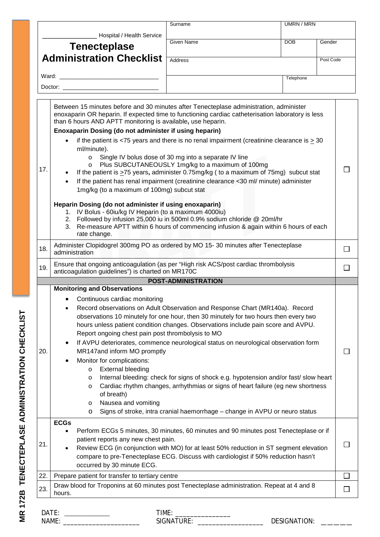|     |                                                                                                                                                                                                                                                                                                                                                                                                                                                                                                                                                                                                                                                                                                                                                                                                                                                                                                                                  | Surname                    |  | <b>UMRN / MRN</b>   |              |
|-----|----------------------------------------------------------------------------------------------------------------------------------------------------------------------------------------------------------------------------------------------------------------------------------------------------------------------------------------------------------------------------------------------------------------------------------------------------------------------------------------------------------------------------------------------------------------------------------------------------------------------------------------------------------------------------------------------------------------------------------------------------------------------------------------------------------------------------------------------------------------------------------------------------------------------------------|----------------------------|--|---------------------|--------------|
|     | Hospital / Health Service                                                                                                                                                                                                                                                                                                                                                                                                                                                                                                                                                                                                                                                                                                                                                                                                                                                                                                        |                            |  |                     |              |
|     | <b>Tenecteplase</b>                                                                                                                                                                                                                                                                                                                                                                                                                                                                                                                                                                                                                                                                                                                                                                                                                                                                                                              | Given Name                 |  | <b>DOB</b>          | Gender       |
|     | <b>Administration Checklist</b>                                                                                                                                                                                                                                                                                                                                                                                                                                                                                                                                                                                                                                                                                                                                                                                                                                                                                                  | Address                    |  |                     | Post Code    |
|     |                                                                                                                                                                                                                                                                                                                                                                                                                                                                                                                                                                                                                                                                                                                                                                                                                                                                                                                                  |                            |  |                     |              |
|     | Doctor:                                                                                                                                                                                                                                                                                                                                                                                                                                                                                                                                                                                                                                                                                                                                                                                                                                                                                                                          |                            |  | Telephone           |              |
|     |                                                                                                                                                                                                                                                                                                                                                                                                                                                                                                                                                                                                                                                                                                                                                                                                                                                                                                                                  |                            |  |                     |              |
|     | Between 15 minutes before and 30 minutes after Tenecteplase administration, administer<br>enoxaparin OR heparin. If expected time to functioning cardiac catheterisation laboratory is less<br>than 6 hours AND APTT monitoring is available, use heparin.<br>Enoxaparin Dosing (do not administer if using heparin)<br>if the patient is <75 years and there is no renal impairment (creatinine clearance is $\geq$ 30<br>ml/minute).                                                                                                                                                                                                                                                                                                                                                                                                                                                                                           |                            |  |                     |              |
| 17. | Single IV bolus dose of 30 mg into a separate IV line<br>Plus SUBCUTANEOUSLY 1mg/kg to a maximum of 100mg<br>$\circ$<br>If the patient is $\geq$ 75 years, administer 0.75mg/kg ( to a maximum of 75mg) subcut stat<br>If the patient has renal impairment (creatinine clearance <30 ml/ minute) administer<br>1mg/kg (to a maximum of 100mg) subcut stat                                                                                                                                                                                                                                                                                                                                                                                                                                                                                                                                                                        |                            |  |                     |              |
|     | Heparin Dosing (do not administer if using enoxaparin)<br>1. IV Bolus - 60iu/kg IV Heparin (to a maximum 4000iu)<br>2. Followed by infusion 25,000 iu in 500ml 0.9% sodium chloride @ 20ml/hr<br>3. Re-measure APTT within 6 hours of commencing infusion & again within 6 hours of each<br>rate change.                                                                                                                                                                                                                                                                                                                                                                                                                                                                                                                                                                                                                         |                            |  |                     |              |
| 18. | Administer Clopidogrel 300mg PO as ordered by MO 15-30 minutes after Tenecteplase<br>administration                                                                                                                                                                                                                                                                                                                                                                                                                                                                                                                                                                                                                                                                                                                                                                                                                              |                            |  |                     |              |
| 19. | Ensure that ongoing anticoagulation (as per "High risk ACS/post cardiac thrombolysis<br>anticoagulation guidelines") is charted on MR170C                                                                                                                                                                                                                                                                                                                                                                                                                                                                                                                                                                                                                                                                                                                                                                                        |                            |  |                     |              |
|     |                                                                                                                                                                                                                                                                                                                                                                                                                                                                                                                                                                                                                                                                                                                                                                                                                                                                                                                                  | <b>POST-ADMINISTRATION</b> |  |                     |              |
| 20. | <b>Monitoring and Observations</b><br>Continuous cardiac monitoring<br>Record observations on Adult Observation and Response Chart (MR140a). Record<br>observations 10 minutely for one hour, then 30 minutely for two hours then every two<br>hours unless patient condition changes. Observations include pain score and AVPU.<br>Report ongoing chest pain post thrombolysis to MO<br>If AVPU deteriorates, commence neurological status on neurological observation form<br>٠<br>MR147and inform MO promptly<br>Monitor for complications:<br><b>External bleeding</b><br>$\circ$<br>Internal bleeding: check for signs of shock e.g. hypotension and/or fast/ slow heart<br>$\circ$<br>Cardiac rhythm changes, arrhythmias or signs of heart failure (eg new shortness<br>$\circ$<br>of breath)<br>Nausea and vomiting<br>$\circ$<br>Signs of stroke, intra cranial haemorrhage - change in AVPU or neuro status<br>$\circ$ |                            |  |                     |              |
| 21. | <b>ECGs</b><br>Perform ECGs 5 minutes, 30 minutes, 60 minutes and 90 minutes post Tenecteplase or if<br>$\bullet$<br>patient reports any new chest pain.<br>Review ECG (in conjunction with MO) for at least 50% reduction in ST segment elevation<br>compare to pre-Tenecteplase ECG. Discuss with cardiologist if 50% reduction hasn't<br>occurred by 30 minute ECG.                                                                                                                                                                                                                                                                                                                                                                                                                                                                                                                                                           |                            |  |                     | $\sim$       |
| 22. | Prepare patient for transfer to tertiary centre                                                                                                                                                                                                                                                                                                                                                                                                                                                                                                                                                                                                                                                                                                                                                                                                                                                                                  |                            |  |                     | $\Box$       |
| 23. | Draw blood for Troponins at 60 minutes post Tenecteplase administration. Repeat at 4 and 8<br>hours.                                                                                                                                                                                                                                                                                                                                                                                                                                                                                                                                                                                                                                                                                                                                                                                                                             |                            |  |                     | $\mathbf{L}$ |
|     | NAME:                                                                                                                                                                                                                                                                                                                                                                                                                                                                                                                                                                                                                                                                                                                                                                                                                                                                                                                            |                            |  | <b>DESIGNATION:</b> |              |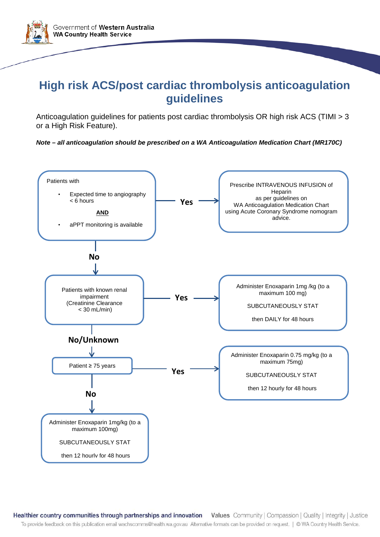

## **High risk ACS/post cardiac thrombolysis anticoagulation guidelines**

Anticoagulation guidelines for patients post cardiac thrombolysis OR high risk ACS (TIMI > 3 or a High Risk Feature).

*Note – all anticoagulation should be prescribed on a WA Anticoagulation Medication Chart (MR170C)*



Healthier country communities through partnerships and innovation Values Community | Compassion | Quality | Integrity | Justice To provide feedback on this publication email wachscomms@health.wa.gov.au Alternative formats can be provided on request. | © WA Country Health Service.